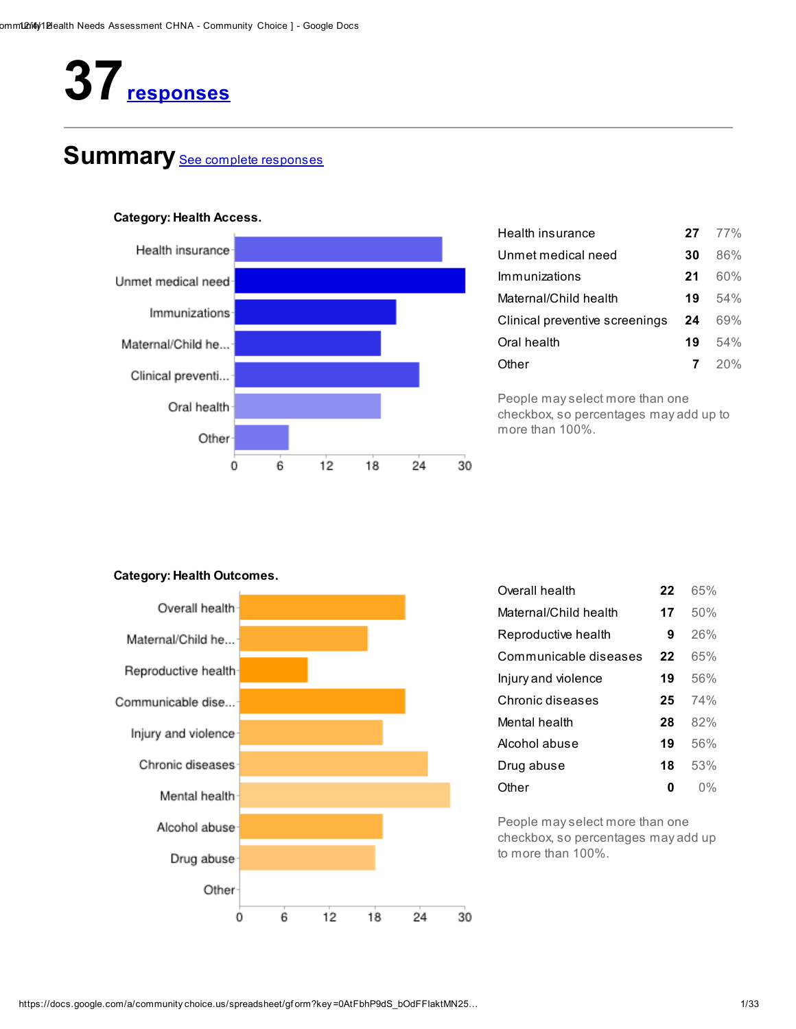# 37 responses

# Summary See complete responses



| $27 \t 77\%$  |
|---------------|
| 86%<br>30     |
| 60%<br>21     |
| .54%<br>19    |
| 69%<br>24     |
| $.54\%$<br>19 |
| $7^{20\%}$    |
|               |

People may select more than one checkbox, so percentages may add up to more than 100%.

### Category: Health Outcomes.



| Overall health        | 22 | 65% |
|-----------------------|----|-----|
| Maternal/Child health | 17 | 50% |
| Reproductive health   | 9  | 26% |
| Communicable diseases | 22 | 65% |
| Injury and violence   | 19 | 56% |
| Chronic diseases      | 25 | 74% |
| Mental health         | 28 | 82% |
| Alcohol abuse         | 19 | 56% |
| Drug abuse            | 18 | 53% |
| Other                 | n  | በ%  |

People may select more than one checkbox, so percentages may add up to more than 100%.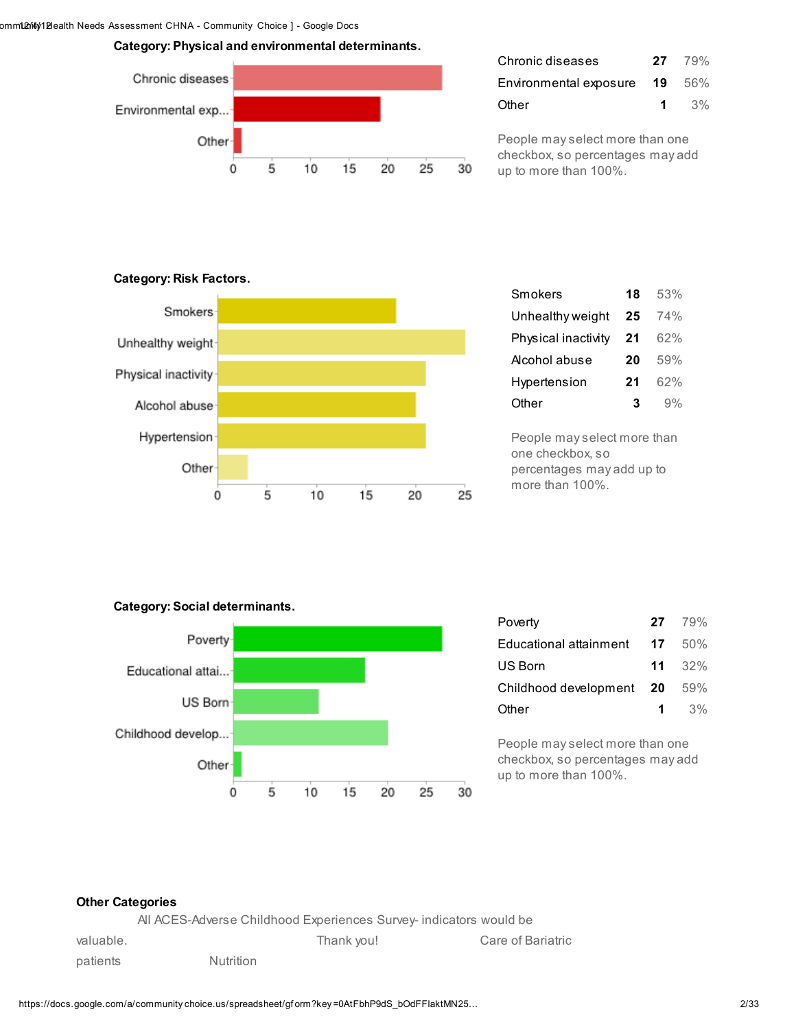Category: Physical and environmental determinants.



| Chronic diseases              | $27 \t 79\%$ |
|-------------------------------|--------------|
| Environmental exposure 19 56% |              |
| Other                         | 1 $3\%$      |

People may select more than one checkbox, so percentages may add up to more than 100%.

### Category: Risk Factors.



| Smokers             | 18 | 53% |
|---------------------|----|-----|
| Unhealthy weight    | 25 | 74% |
| Physical inactivity | 21 | 62% |
| Alcohol abuse       | 20 | 59% |
| Hypertension        | 21 | 62% |
| Other               | 3  | 9%  |

People may select more than one checkbox, so percentages may add up to more than 100%.

### Category: Social determinants.



| Poverty                  |      | $27 \t 79\%$    |
|--------------------------|------|-----------------|
| Educational attainment   | - 17 | 50%             |
| US Born                  |      | $11 \quad 32\%$ |
| Childhood development 20 |      | 59%             |
| Other                    | 1    | $3\%$           |

People may select more than one checkbox, so percentages may add up to more than 100%.

### Other Categories

All ACES-Adverse Childhood Experiences Survey- indicators would be

| valuable. |           | Thank you! | Care of Bariatric |
|-----------|-----------|------------|-------------------|
| patients  | Nutrition |            |                   |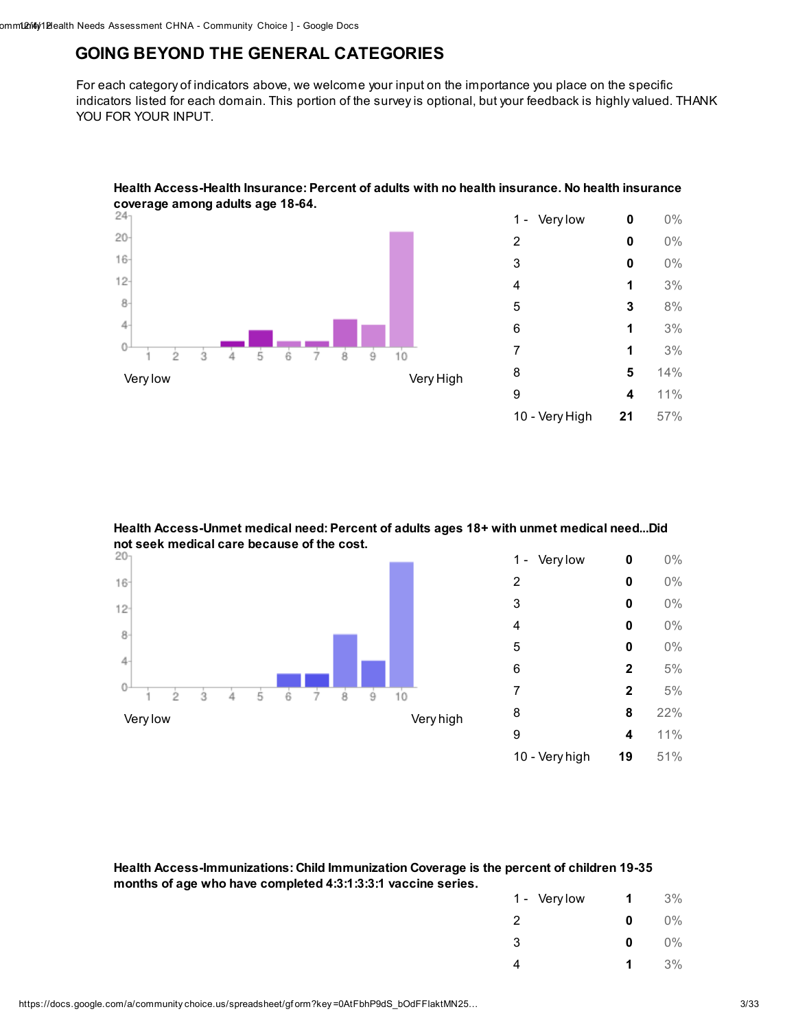### GOING BEYOND THE GENERAL CATEGORIES

For each category of indicators above, we welcome your input on the importance you place on the specific indicators listed for each domain. This portion of the survey is optional, but your feedback is highly valued. THANK YOU FOR YOUR INPUT.



Health Access-Health Insurance: Percent of adults with no health insurance. No health insurance

### Health Access-Unmet medical need: Percent of adults ages 18+ with unmet medical need...Did not seek medical care because of the cost.<br> $20<sub>1</sub>$



Health Access-Immunizations: Child Immunization Coverage is the percent of children 19-35 months of age who have completed 4:3:1:3:3:1 vaccine series.

| 1 - Very low | 1 | 3%    |
|--------------|---|-------|
| 2            | 0 | $0\%$ |
| 3            | 0 | $0\%$ |
| 4            | 1 | 3%    |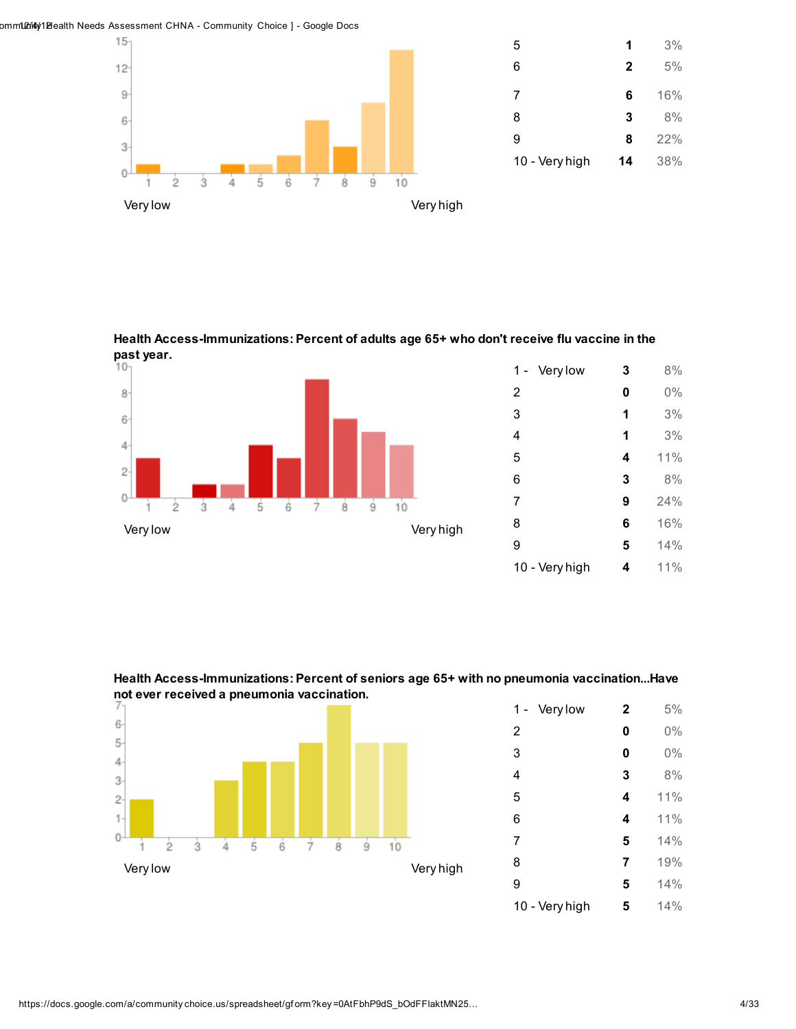omm102ri4y1Blealth Needs Assessment CHNA - Community Choice ] - Google Docs



Health Access-Immunizations: Percent of adults age 65+ who don't receive flu vaccine in the past year.<br> $10<sub>1</sub>$ 





Health Access-Immunizations: Percent of seniors age 65+ with no pneumonia vaccination...Have not ever received a pneumonia vaccination.

| Very low<br>1 - | $\mathbf 2$ | 5%  |
|-----------------|-------------|-----|
| $\overline{2}$  | 0           | 0%  |
| 3               | 0           | 0%  |
| 4               | 3           | 8%  |
| 5               | 4           | 11% |
| 6               | 4           | 11% |
| 7               | 5           | 14% |
| 8               | 7           | 19% |
| 9               | 5           | 14% |
| 10 - Very high  | 5           | 14% |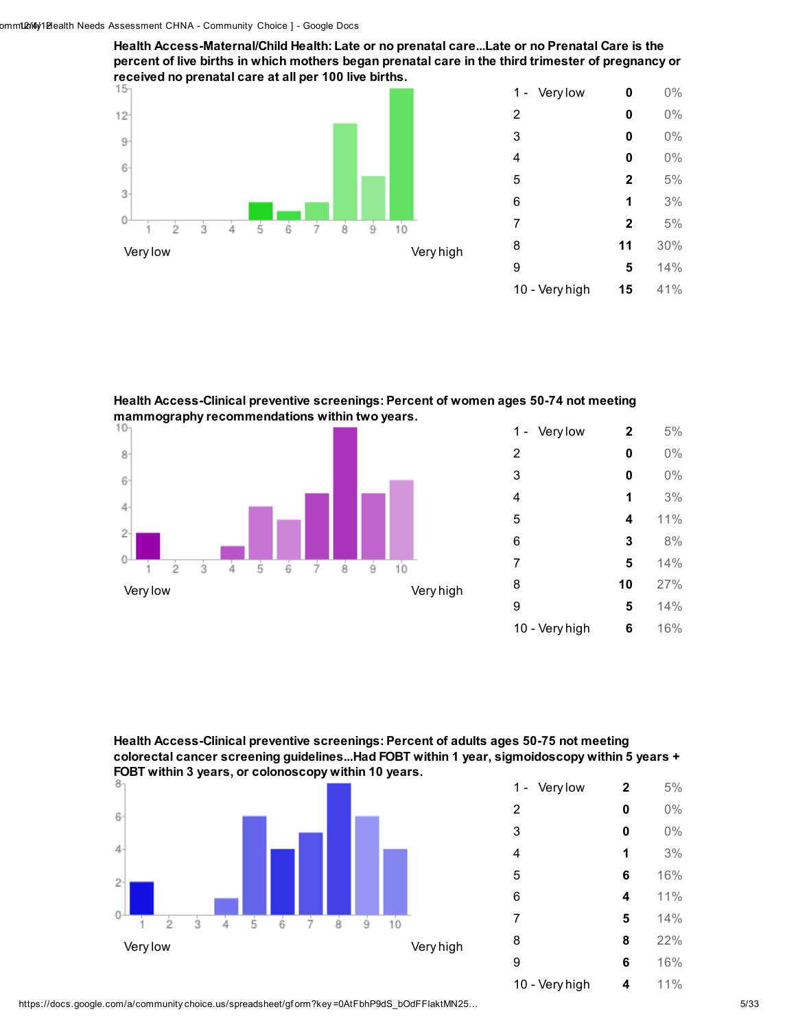Health Access-Maternal/Child Health: Late or no prenatal care...Late or no Prenatal Care is the percent of live births in which mothers began prenatal care in the third trimester of pregnancy or received no prenatal care at all per 100 live births.



Health Access-Clinical preventive screenings: Percent of women ages 50-74 not meeting mammography recommendations within two years.<br>10-



| Very low<br>1 - | $\mathbf{2}$ | 5%  |
|-----------------|--------------|-----|
| 2               | 0            | 0%  |
| 3               | 0            | 0%  |
| 4               | 1            | 3%  |
| 5               | 4            | 11% |
| 6               | 3            | 8%  |
| 7               | 5            | 14% |
| 8               | 10           | 27% |
| 9               | 5            | 14% |
| 10 - Very high  | 6            | 16% |

Health Access-Clinical preventive screenings: Percent of adults ages 50-75 not meeting colorectal cancer screening guidelines...Had FOBT within 1 year, sigmoidoscopy within 5 years + FOBT within 3 years, or colonoscopy within 10 years.



| Very low<br>1 – | $\mathbf{2}$ | 5%  |
|-----------------|--------------|-----|
| $\overline{2}$  | 0            | 0%  |
| 3               | 0            | 0%  |
| 4               | 1            | 3%  |
| 5               | 6            | 16% |
| 6               | 4            | 11% |
| 7               | 5            | 14% |
| 8               | 8            | 22% |
| 9               | 6            | 16% |
| 10 - Very high  | 4            | 11% |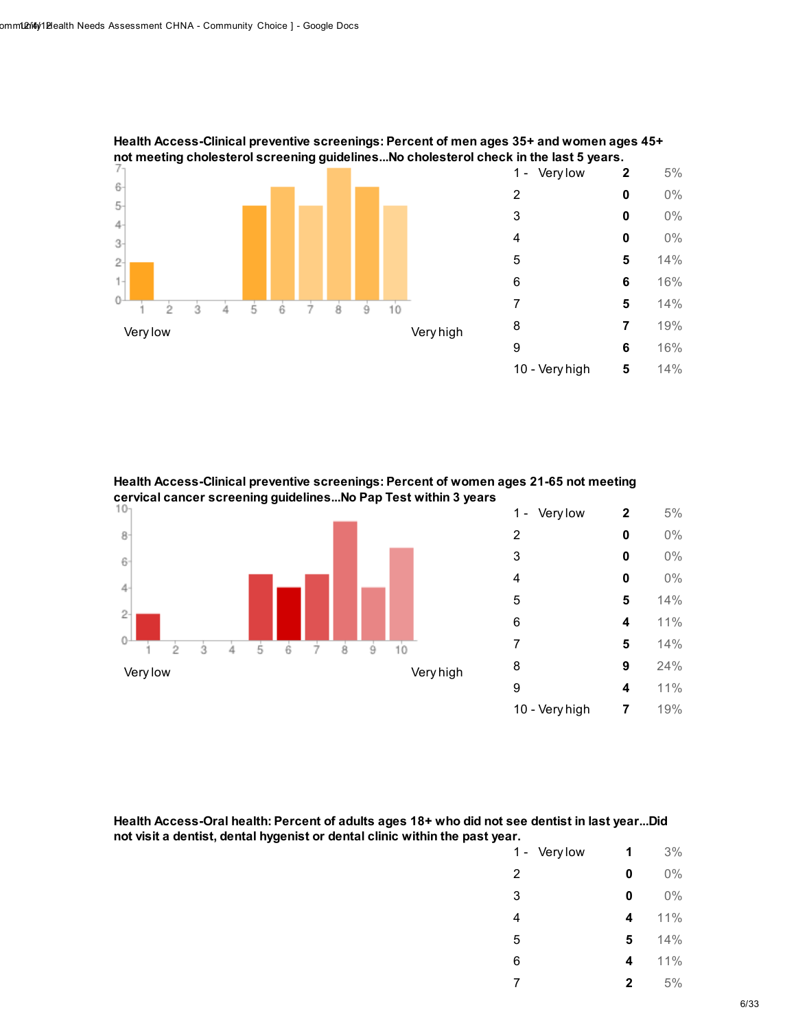

Health Access-Clinical preventive screenings: Percent of men ages 35+ and women ages 45+ not meeting cholesterol screening guidelines...No cholesterol check in the last 5 years.

Health Access-Clinical preventive screenings: Percent of women ages 21-65 not meeting cervical cancer screening guidelines...No Pap Test within 3 years



| Health Access-Oral health: Percent of adults ages 18+ who did not see dentist in last yearDid |
|-----------------------------------------------------------------------------------------------|
| not visit a dentist, dental hygenist or dental clinic within the past year.                   |

| Very low<br>1 - | 1            | 3%  |
|-----------------|--------------|-----|
| 2               | 0            | 0%  |
| 3               | 0            | 0%  |
| 4               | 4            | 11% |
| 5               | 5            | 14% |
| 6               | 4            | 11% |
| 7               | $\mathbf{2}$ | 5%  |
|                 |              |     |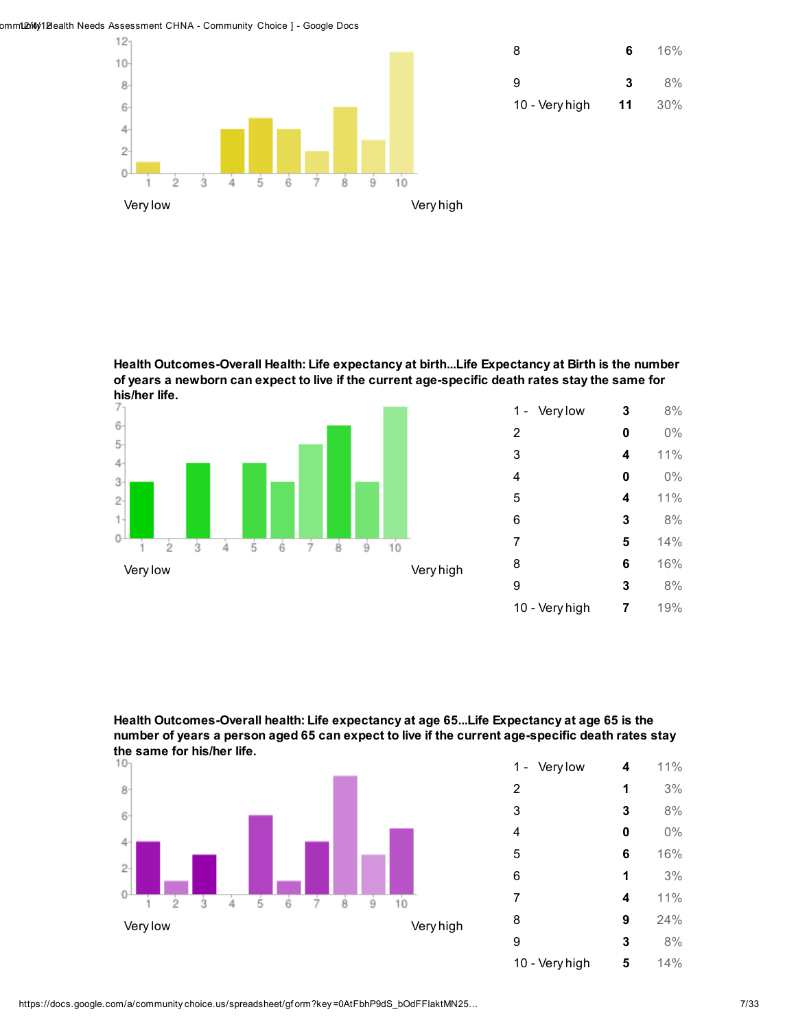omm102144y1 Blealth Needs Assessment CHNA - Community Choice ] - Google Docs



Health Outcomes-Overall Health: Life expectancy at birth...Life Expectancy at Birth is the number of years a newborn can expect to live if the current age-specific death rates stay the same for his/her life.



| Very low<br>1 - | 3 | 8%  |
|-----------------|---|-----|
| 2               | 0 | 0%  |
| 3               | 4 | 11% |
| 4               | 0 | 0%  |
| 5               | 4 | 11% |
| 6               | 3 | 8%  |
| 7               | 5 | 14% |
| 8               | 6 | 16% |
| 9               | 3 | 8%  |
| 10 - Very high  | 7 | 19% |





| Very low<br>1 - | 4 | 11% |
|-----------------|---|-----|
| $\overline{2}$  | 1 | 3%  |
| 3               | 3 | 8%  |
| 4               | 0 | 0%  |
| 5               | 6 | 16% |
| 6               | 1 | 3%  |
| 7               | 4 | 11% |
| 8               | 9 | 24% |
| 9               | 3 | 8%  |
| 10 - Very high  | 5 | 14% |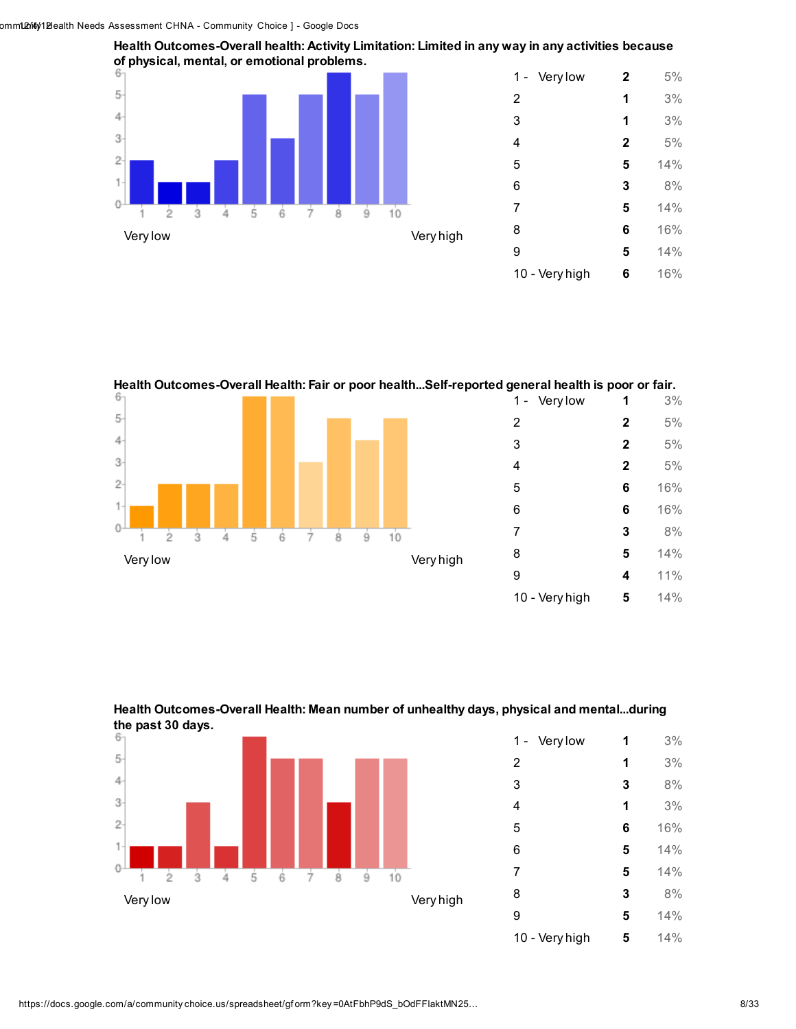$\theta$ 



Health Outcomes-Overall Health: Fair or poor health...Self-reported general health is poor or fair. 1 - Very low **1** 3%

 2 5% 3 2  $5\%$  2 5%  $\overline{2}$  6 16% 16% **3** 8% ġ. ż ġ ģ ク **5** 14% Very low Very high 4 11% 10 - Very high 5 14%





| Very low<br>1 - | 1 | 3%  |
|-----------------|---|-----|
| 2               | 1 | 3%  |
| 3               | 3 | 8%  |
| 4               | 1 | 3%  |
| 5               | 6 | 16% |
| 6               | 5 | 14% |
| 7               | 5 | 14% |
| 8               | 3 | 8%  |
| 9               | 5 | 14% |
| 10 - Very high  | 5 | 14% |

# $\overline{5}$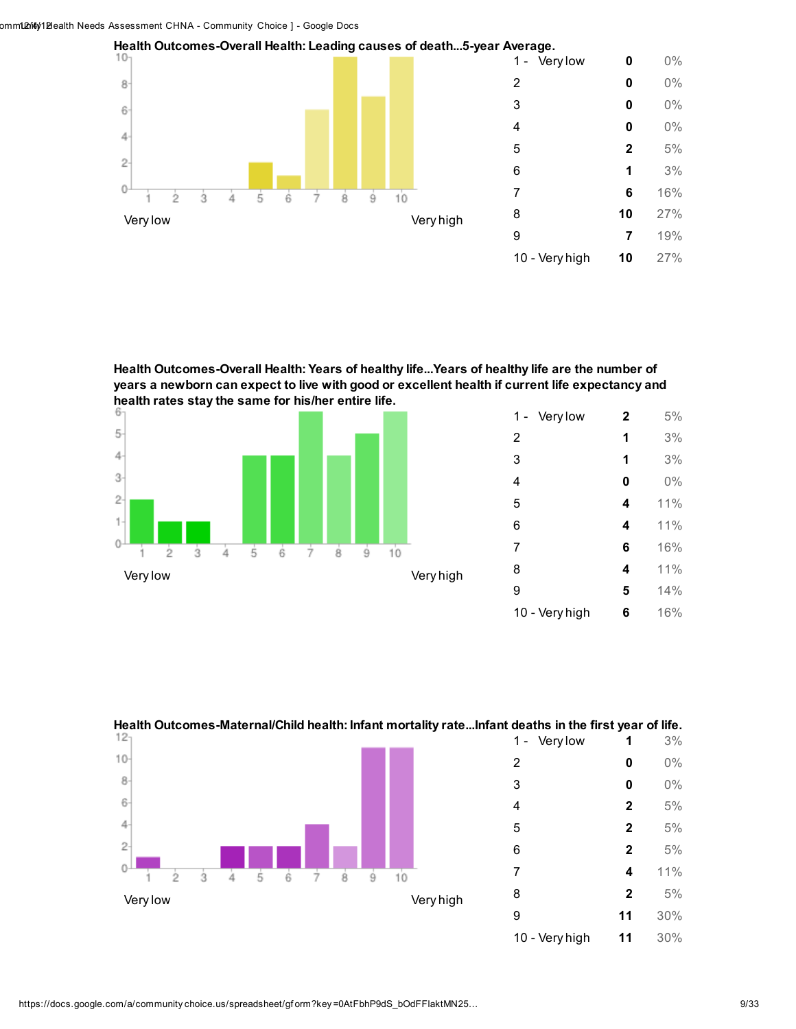

Health Outcomes-Overall Health: Years of healthy life...Years of healthy life are the number of years a newborn can expect to live with good or excellent health if current life expectancy and health rates stay the same for his/her entire life.



| Very low<br>1 - | $\mathbf 2$ | 5%  |
|-----------------|-------------|-----|
| $\overline{2}$  | 1           | 3%  |
| 3               | 1           | 3%  |
| 4               | 0           | 0%  |
| 5               | 4           | 11% |
| 6               | 4           | 11% |
| 7               | 6           | 16% |
| 8               | 4           | 11% |
| 9               | 5           | 14% |
| 10 - Very high  | 6           | 16% |



### Health Outcomes-Maternal/Child health: Infant mortality rate...Infant deaths in the first year of life.

- Very high 11 30%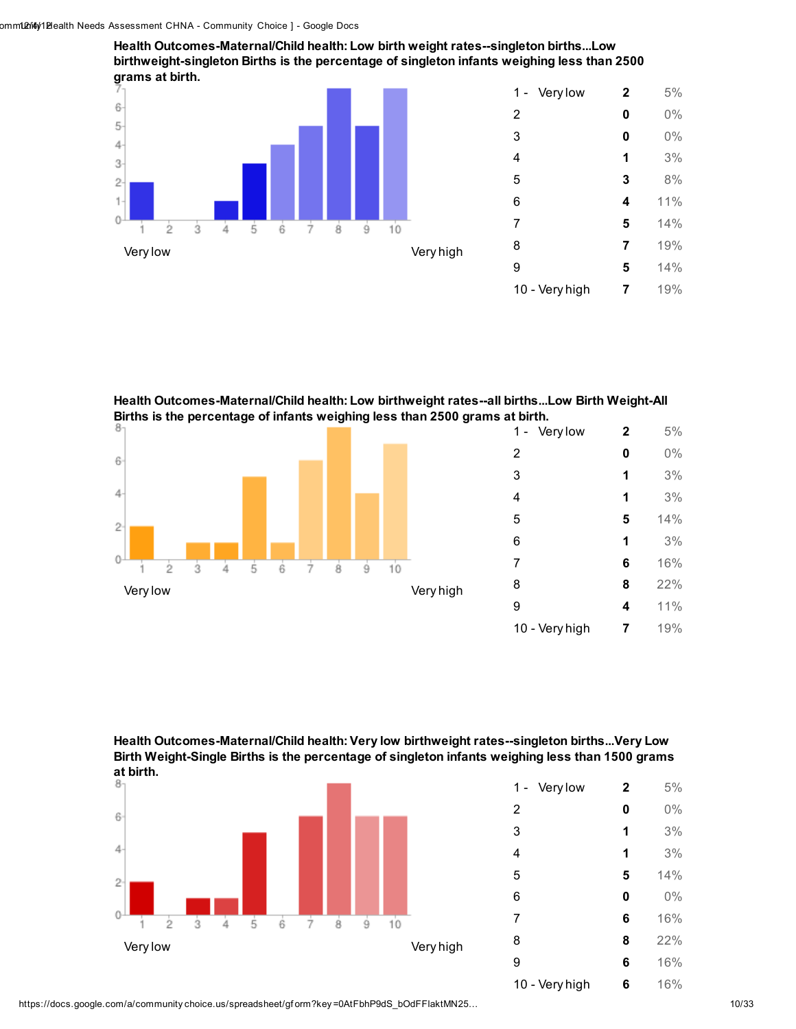Health Outcomes-Maternal/Child health: Low birth weight rates--singleton births...Low birthweight-singleton Births is the percentage of singleton infants weighing less than 2500 grams at birth.



| Very low<br>$1 -$ | $\mathbf{2}$ | 5%  |
|-------------------|--------------|-----|
| 2                 | 0            | 0%  |
| 3                 | 0            | 0%  |
| 4                 | 1            | 3%  |
| 5                 | 3            | 8%  |
| 6                 | 4            | 11% |
| 7                 | 5            | 14% |
| 8                 | 7            | 19% |
| 9                 | 5            | 14% |
| 10 - Very high    | 7            | 19% |
|                   |              |     |

Health Outcomes-Maternal/Child health: Low birthweight rates--all births...Low Birth Weight-All Births is the percentage of infants weighing less than 2500 grams at birth.









| Very low<br>1 - | $\mathbf{2}$ | 5%  |
|-----------------|--------------|-----|
| 2               | 0            | 0%  |
| 3               | 1            | 3%  |
| 4               | 1            | 3%  |
| 5               | 5            | 14% |
| 6               | 0            | 0%  |
| 7               | 6            | 16% |
| 8               | 8            | 22% |
| 9               | 6            | 16% |
| 10 - Very high  | 6            | 16% |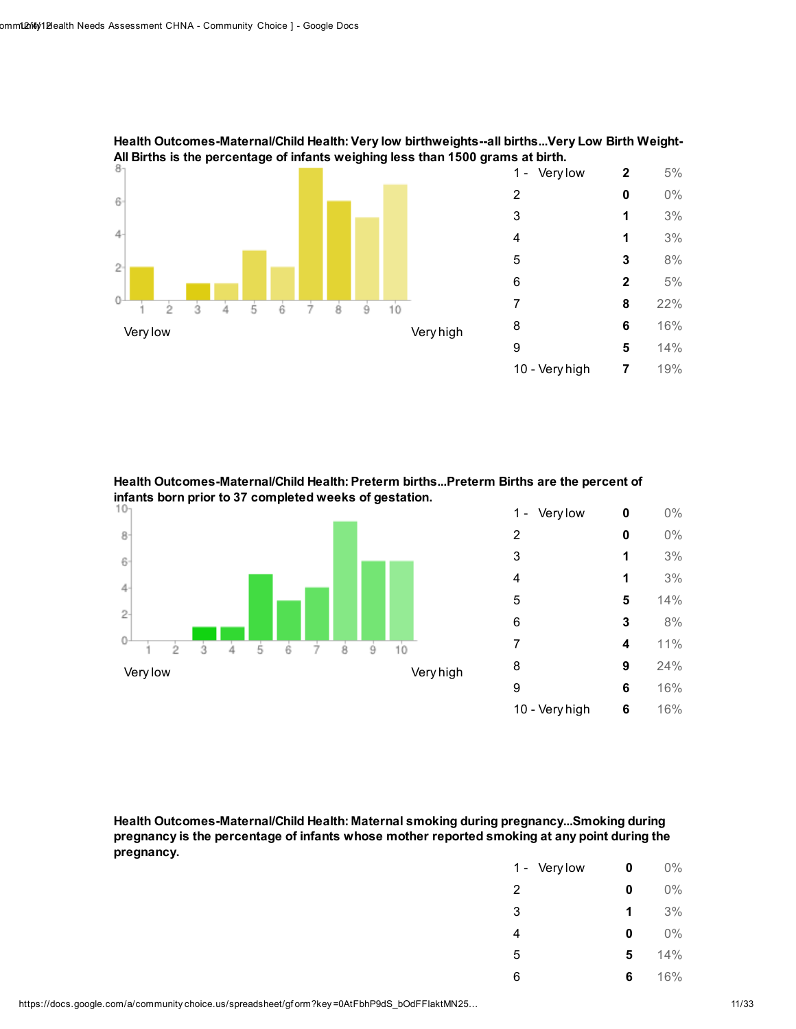

Health Outcomes-Maternal/Child Health: Very low birthweights--all births...Very Low Birth Weight-All Births is the percentage of infants weighing less than 1500 grams at birth.

Health Outcomes-Maternal/Child Health: Preterm births...Preterm Births are the percent of infants born prior to 37 completed weeks of gestation.



Health Outcomes-Maternal/Child Health: Maternal smoking during pregnancy...Smoking during pregnancy is the percentage of infants whose mother reported smoking at any point during the pregnancy.

| Very low<br>$1 -$ | 0 | $0\%$ |
|-------------------|---|-------|
| 2                 | 0 | $0\%$ |
| 3                 | 1 | 3%    |
| 4                 | 0 | $0\%$ |
| 5                 | 5 | 14%   |
| 6                 | 6 | 16%   |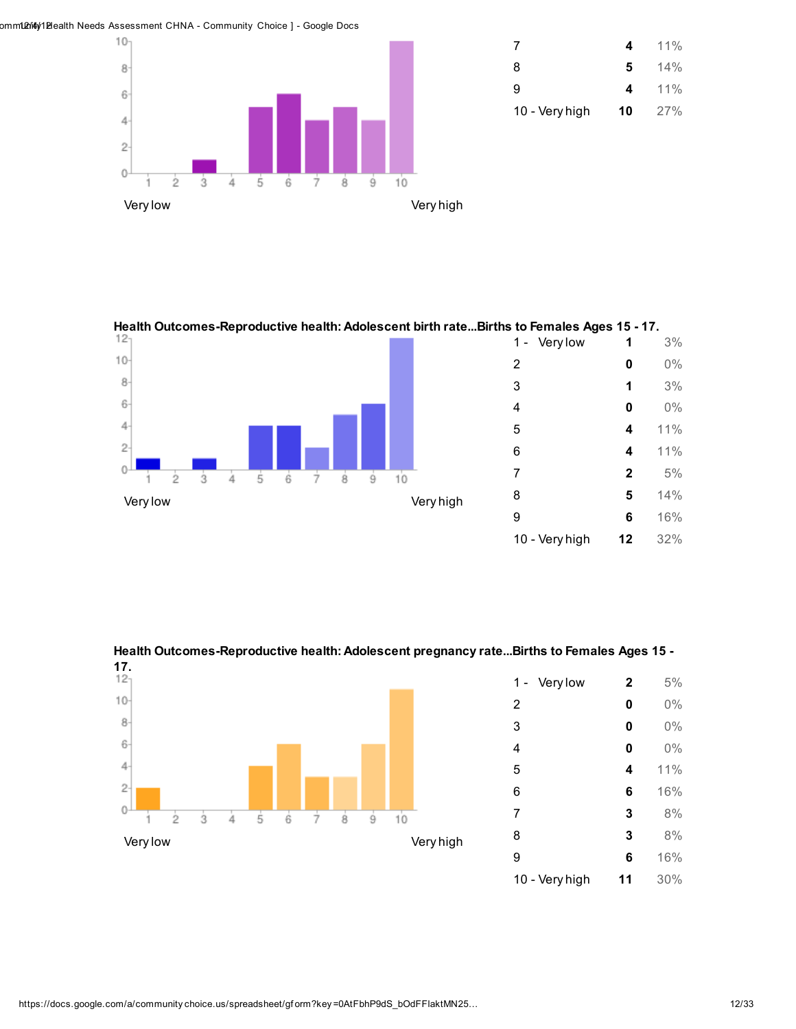omm102ri4y1Blealth Needs Assessment CHNA - Community Choice ] - Google Docs





Health Outcomes-Reproductive health: Adolescent birth rate...Births to Females Ages 15 - 17.



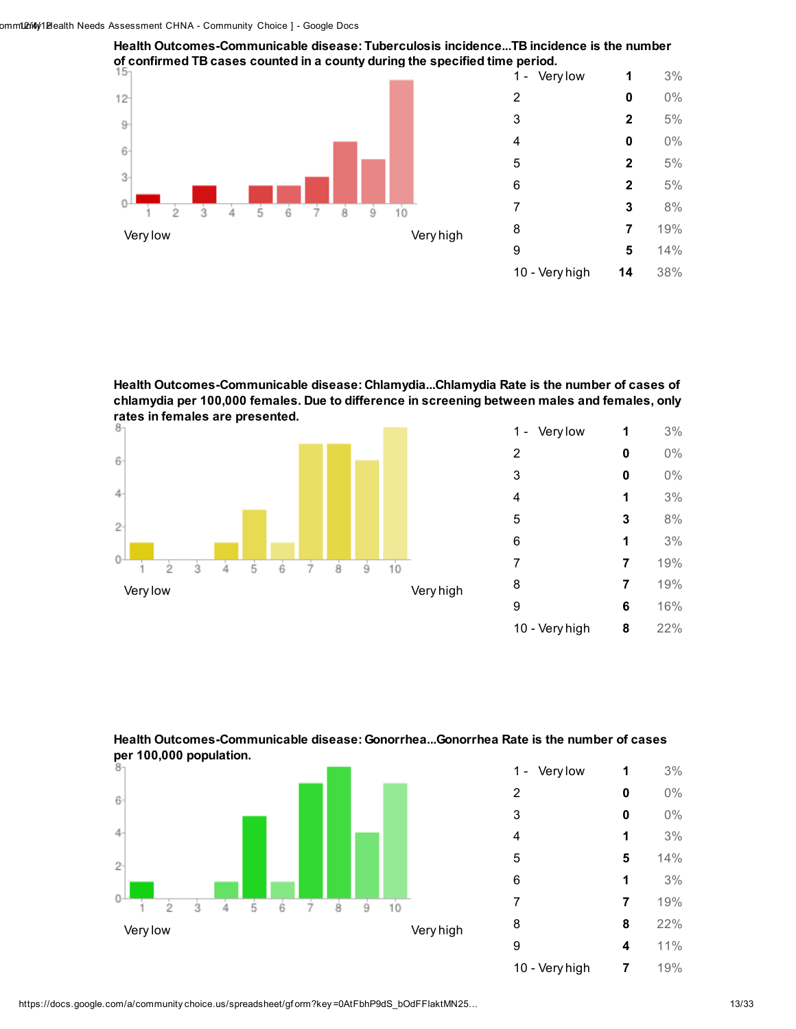

Health Outcomes-Communicable disease: Tuberculosis incidence...TB incidence is the number

Health Outcomes-Communicable disease: Chlamydia...Chlamydia Rate is the number of cases of chlamydia per 100,000 females. Due to difference in screening between males and females, only rates in females are presented.



| Very low<br>1 - | 1 | 3%  |
|-----------------|---|-----|
| 2               | 0 | 0%  |
| 3               | 0 | 0%  |
| 4               | 1 | 3%  |
| 5               | 3 | 8%  |
| 6               | 1 | 3%  |
| 7               | 7 | 19% |
| 8               | 7 | 19% |
| 9               | 6 | 16% |
| 10 - Very high  | 8 | 22% |





| Very low<br>1 - | 1 | 3%  |
|-----------------|---|-----|
| 2               | 0 | 0%  |
| 3               | 0 | 0%  |
| 4               | 1 | 3%  |
| 5               | 5 | 14% |
| 6               | 1 | 3%  |
| 7               | 7 | 19% |
| 8               | 8 | 22% |
| 9               | 4 | 11% |
| 10 - Very high  | 7 | 19% |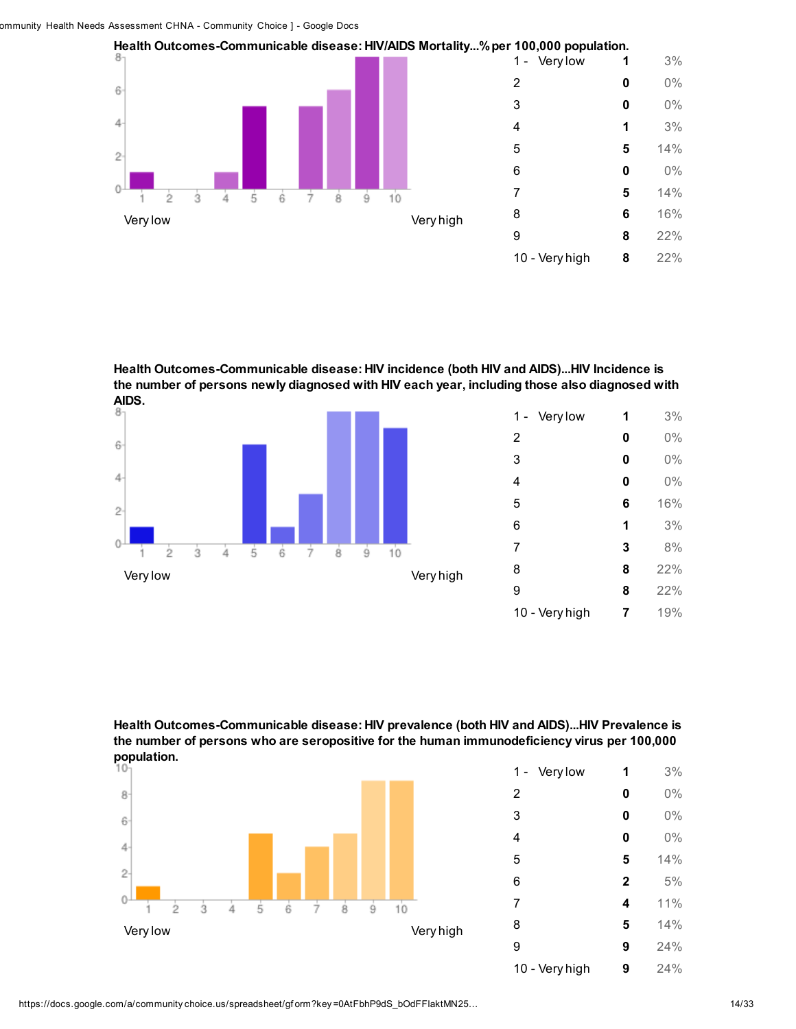

Health Outcomes-Communicable disease: HIV incidence (both HIV and AIDS)...HIV Incidence is the number of persons newly diagnosed with HIV each year, including those also diagnosed with AIDS.



| Very low<br>1 - | 1 | 3%  |
|-----------------|---|-----|
| 2               | 0 | 0%  |
| 3               | 0 | 0%  |
| 4               | 0 | 0%  |
| 5               | 6 | 16% |
| 6               | 1 | 3%  |
| 7               | 3 | 8%  |
| 8               | 8 | 22% |
| 9               | 8 | 22% |
| 10 - Very high  | 7 | 19% |

Health Outcomes-Communicable disease: HIV prevalence (both HIV and AIDS)...HIV Prevalence is the number of persons who are seropositive for the human immunodeficiency virus per 100,000 population.



| Very low<br>1 - | 1            | 3%    |
|-----------------|--------------|-------|
| 2               | 0            | $0\%$ |
| 3               | 0            | 0%    |
| 4               | 0            | 0%    |
| 5               | 5            | 14%   |
| 6               | $\mathbf{2}$ | 5%    |
| 7               | 4            | 11%   |
| 8               | 5            | 14%   |
| 9               | 9            | 24%   |
| 10 - Very high  | 9            | 24%   |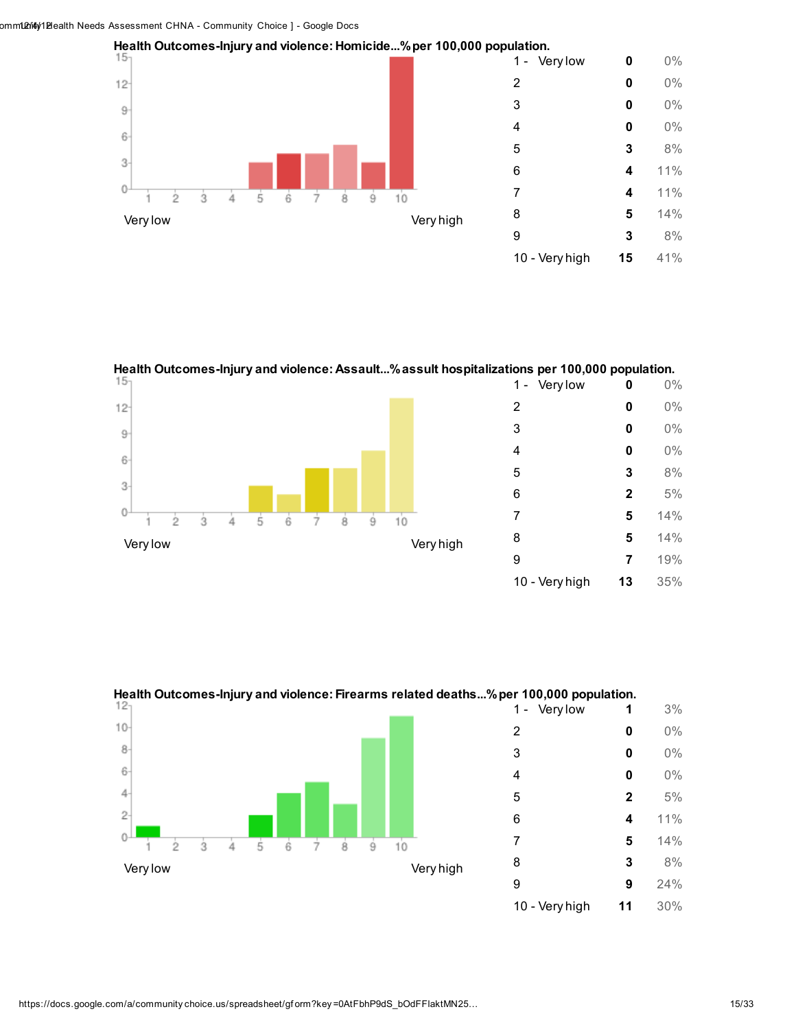



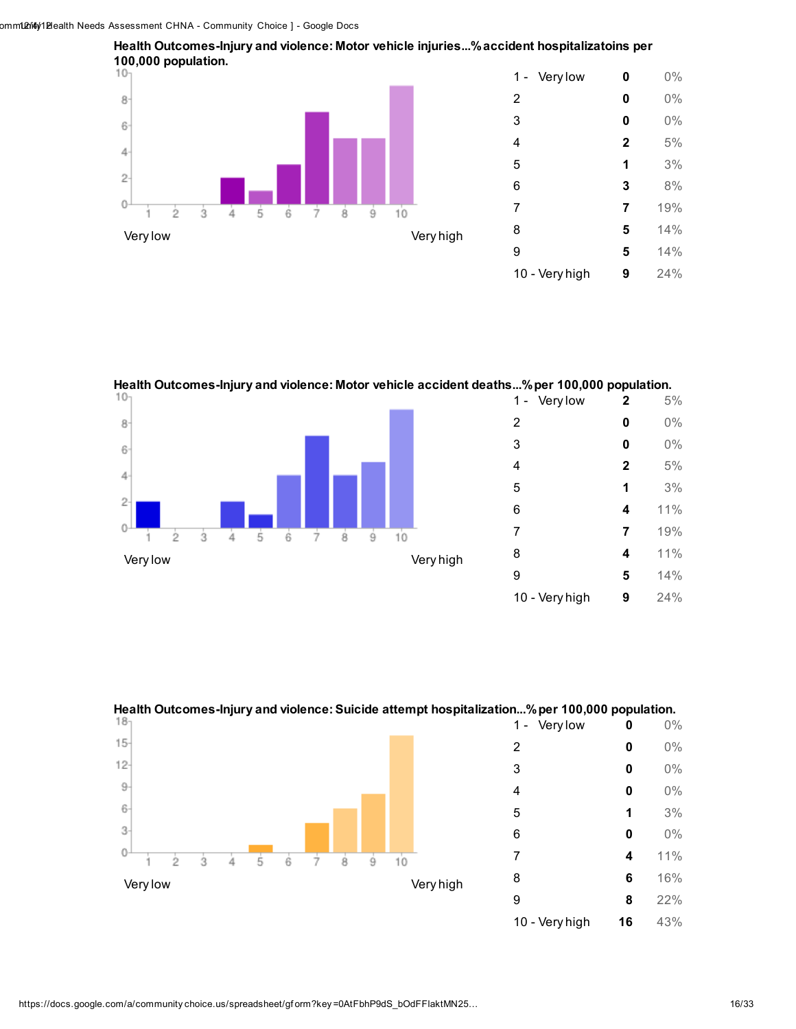



Health Outcomes-Injury and violence: Motor vehicle accident deaths...% per 100,000 population.





Health Outcomes-Injury and violence: Suicide attempt hospitalization...%per 100,000 population.

10 - Very high **16** 43%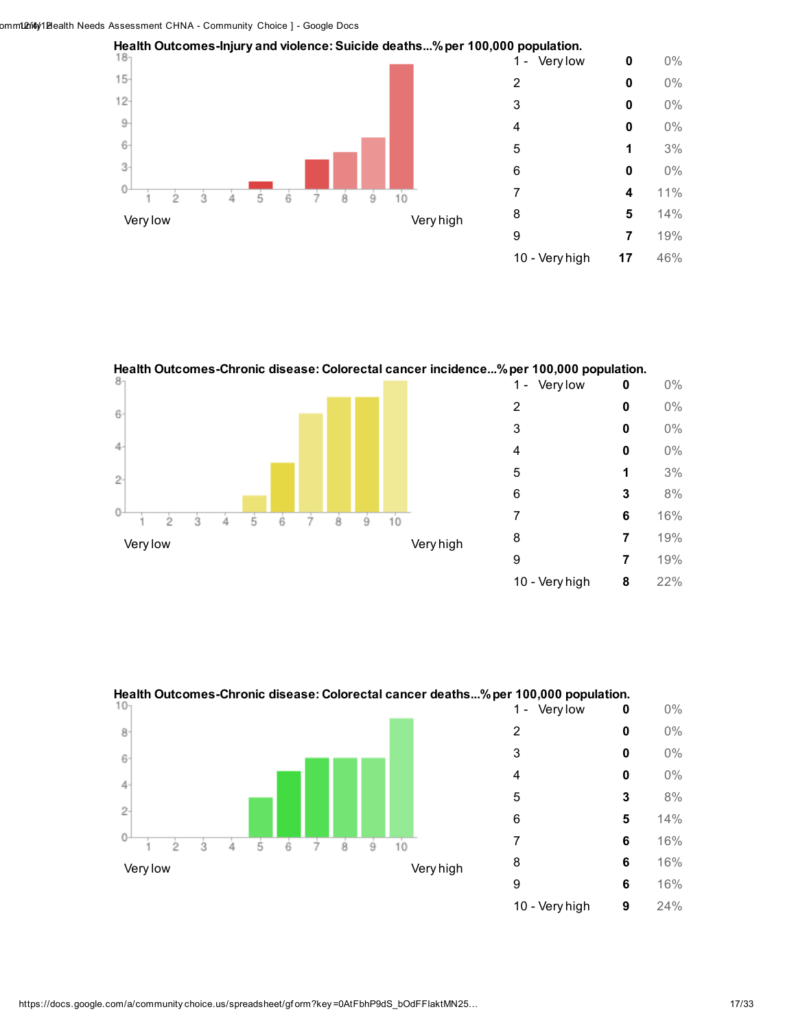



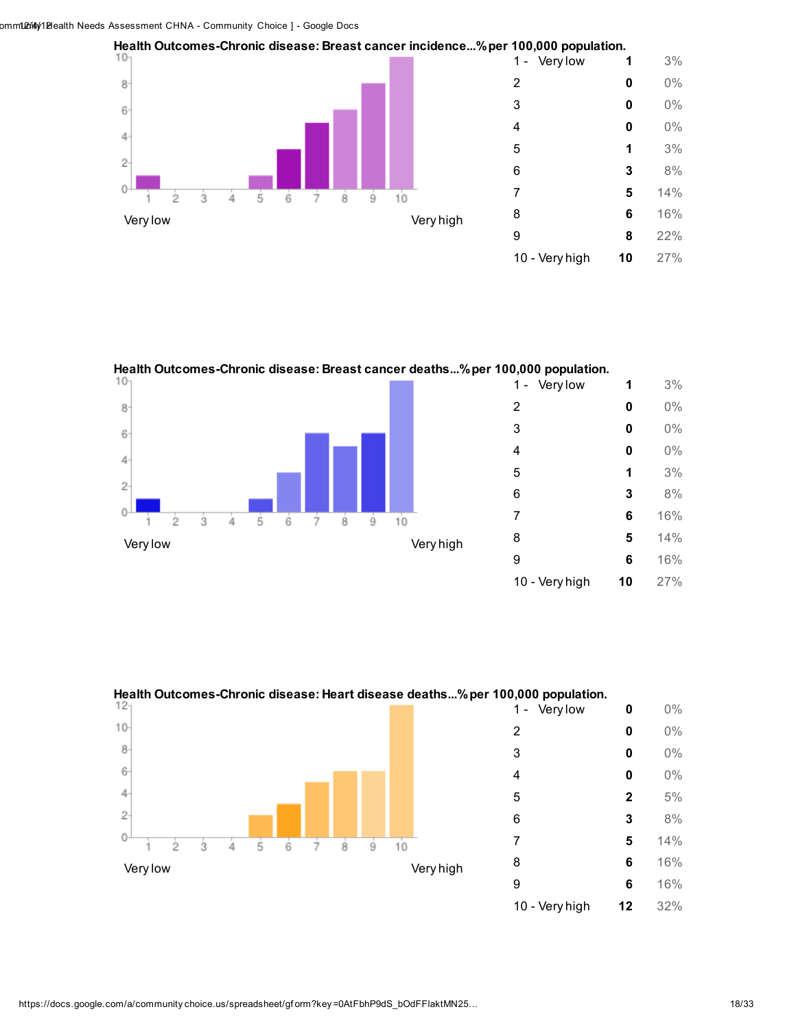



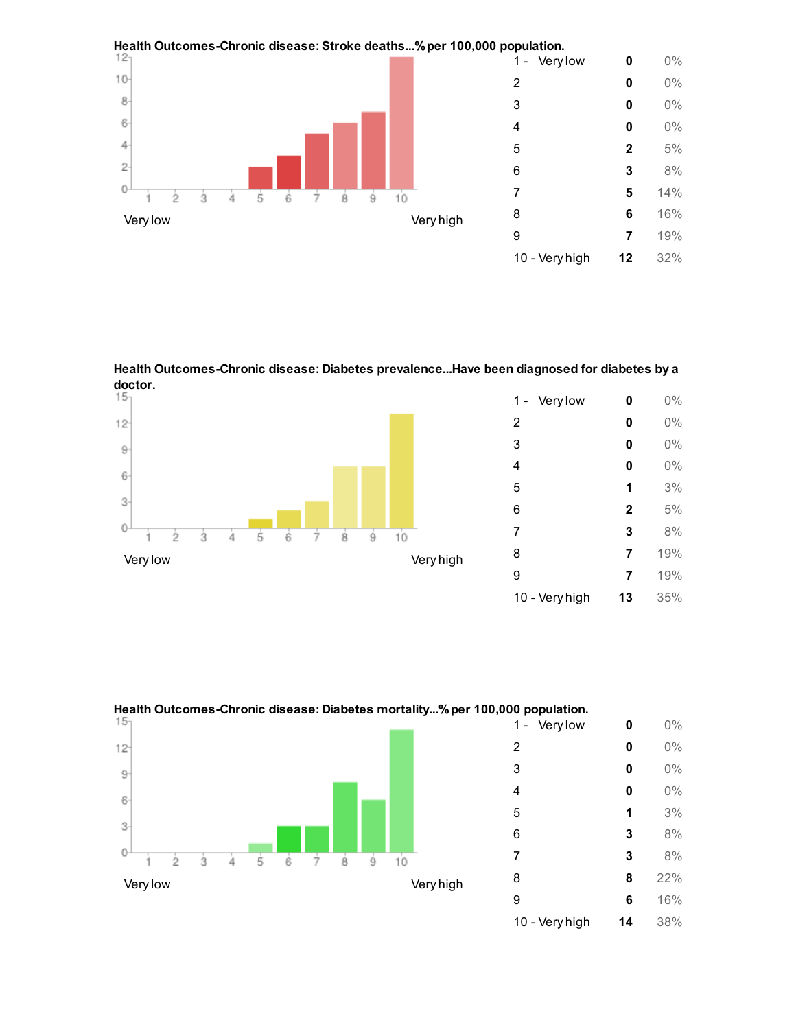

Health Outcomes-Chronic disease: Diabetes prevalence...Have been diagnosed for diabetes by a doctor.<br> $15<sub>1</sub>$ 



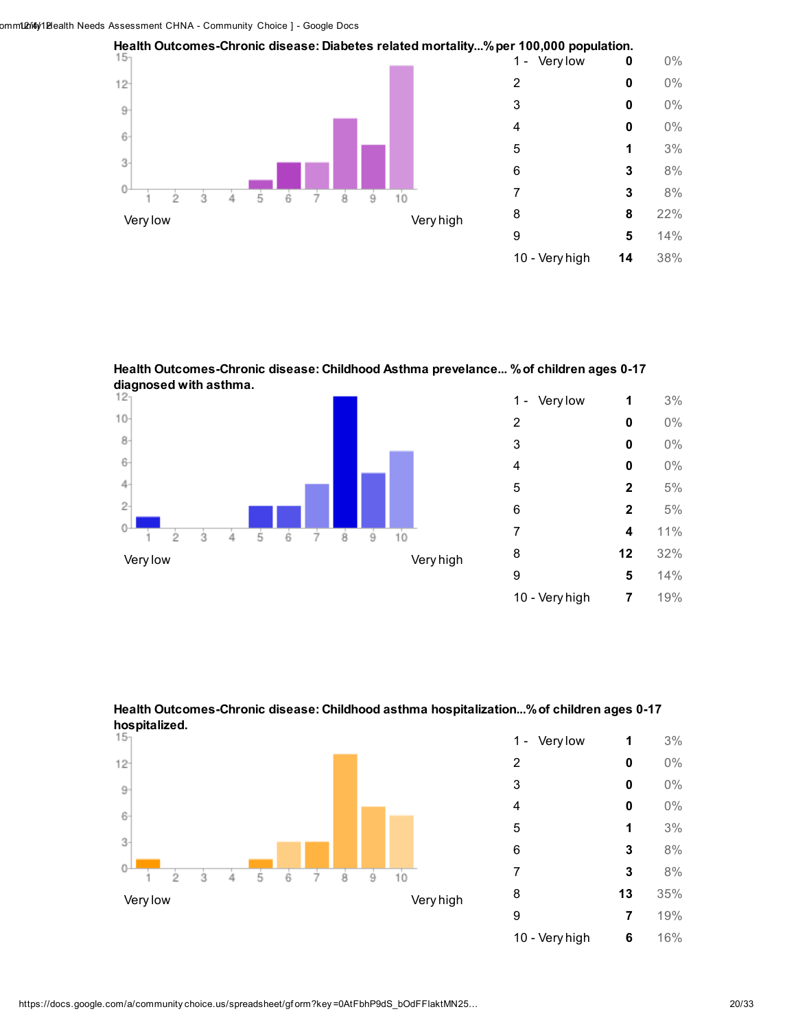

Health Outcomes-Chronic disease: Childhood Asthma prevelance... %of children ages 0-17 diagnosed with asthma.<br> $12<sub>1</sub>$ 







| Very low<br>$1 -$ | 1  | 3%  |
|-------------------|----|-----|
| $\overline{2}$    | 0  | 0%  |
| 3                 | 0  | 0%  |
| 4                 | 0  | 0%  |
| 5                 | 1  | 3%  |
| 6                 | 3  | 8%  |
| 7                 | 3  | 8%  |
| 8                 | 13 | 35% |
| 9                 | 7  | 19% |
| 10 - Very high    | 6  | 16% |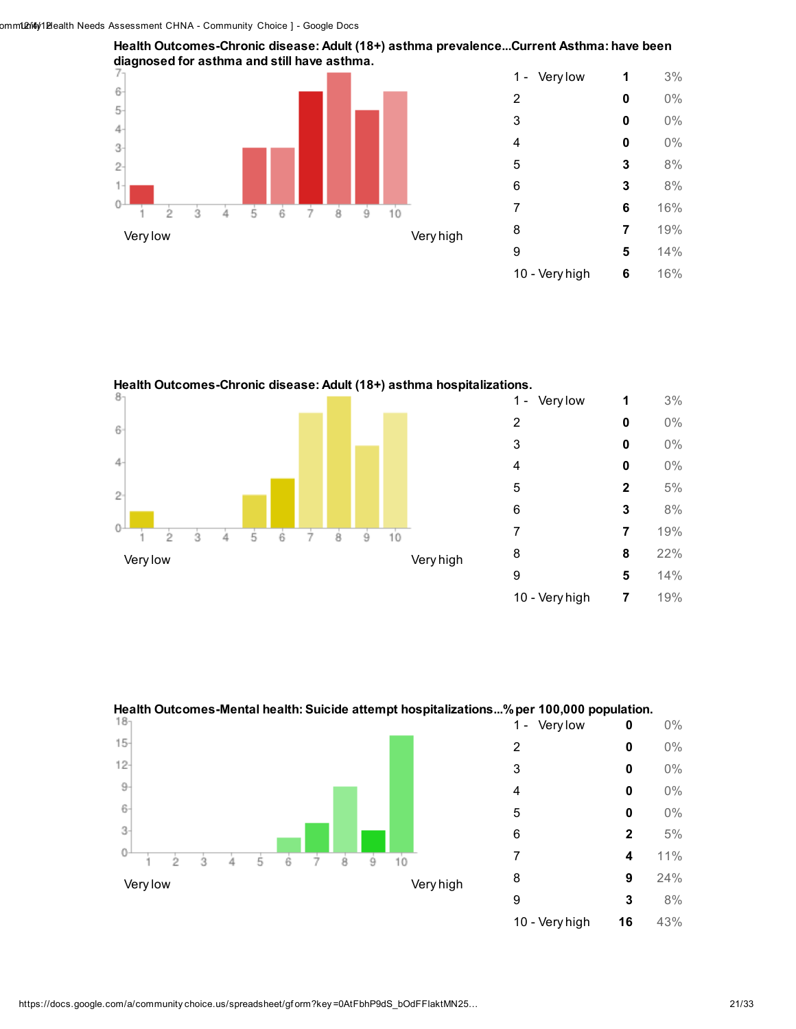

Health Outcomes-Chronic disease: Adult (18+) asthma hospitalizations.



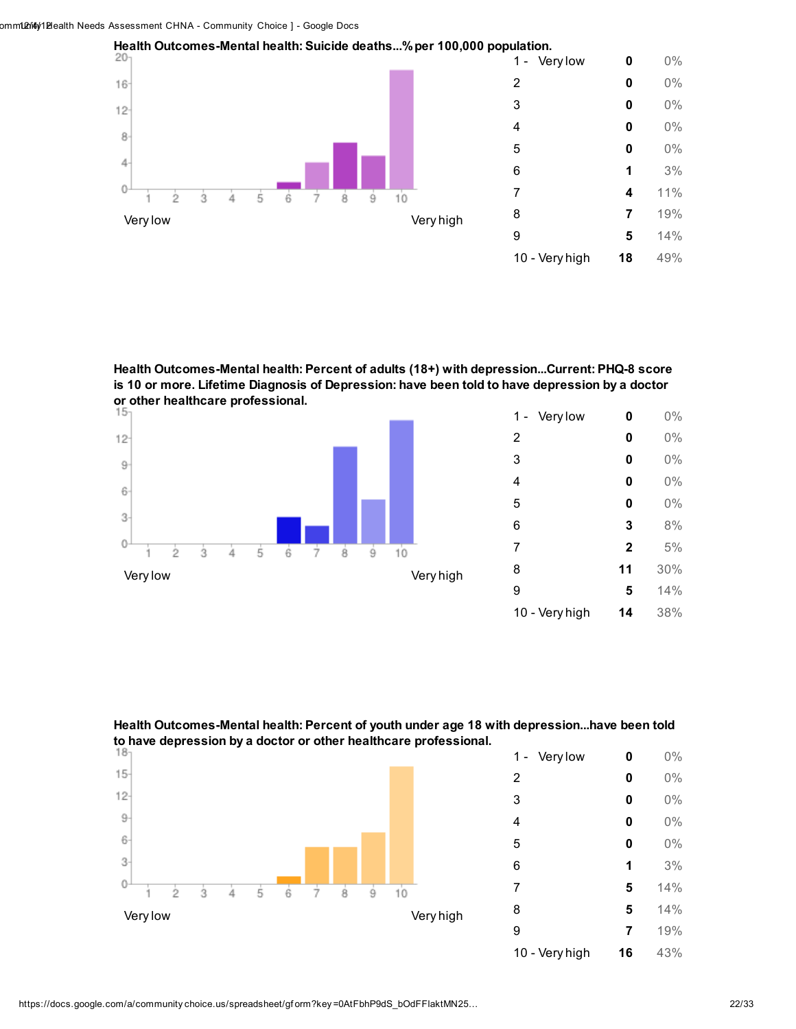

Health Outcomes-Mental health: Percent of adults (18+) with depression...Current: PHQ-8 score is 10 or more. Lifetime Diagnosis of Depression: have been told to have depression by a doctor or other healthcare professional.<br>15



| Very low<br>1 - | 0            | $0\%$ |
|-----------------|--------------|-------|
| 2               | 0            | 0%    |
| 3               | 0            | 0%    |
| 4               | 0            | 0%    |
| 5               | 0            | 0%    |
| 6               | 3            | 8%    |
| 7               | $\mathbf{2}$ | 5%    |
| 8               | 11           | 30%   |
| 9               | 5            | 14%   |
| 10 - Very high  | 14           | 38%   |

Health Outcomes-Mental health: Percent of youth under age 18 with depression...have been told to have depression by a doctor or other healthcare professional.



| Very low<br>1 - | 0  | 0%  |
|-----------------|----|-----|
| $\overline{2}$  | 0  | 0%  |
| 3               | 0  | 0%  |
| 4               | 0  | 0%  |
| 5               | 0  | 0%  |
| 6               | 1  | 3%  |
| 7               | 5  | 14% |
| 8               | 5  | 14% |
| 9               | 7  | 19% |
| 10 - Very high  | 16 | 43% |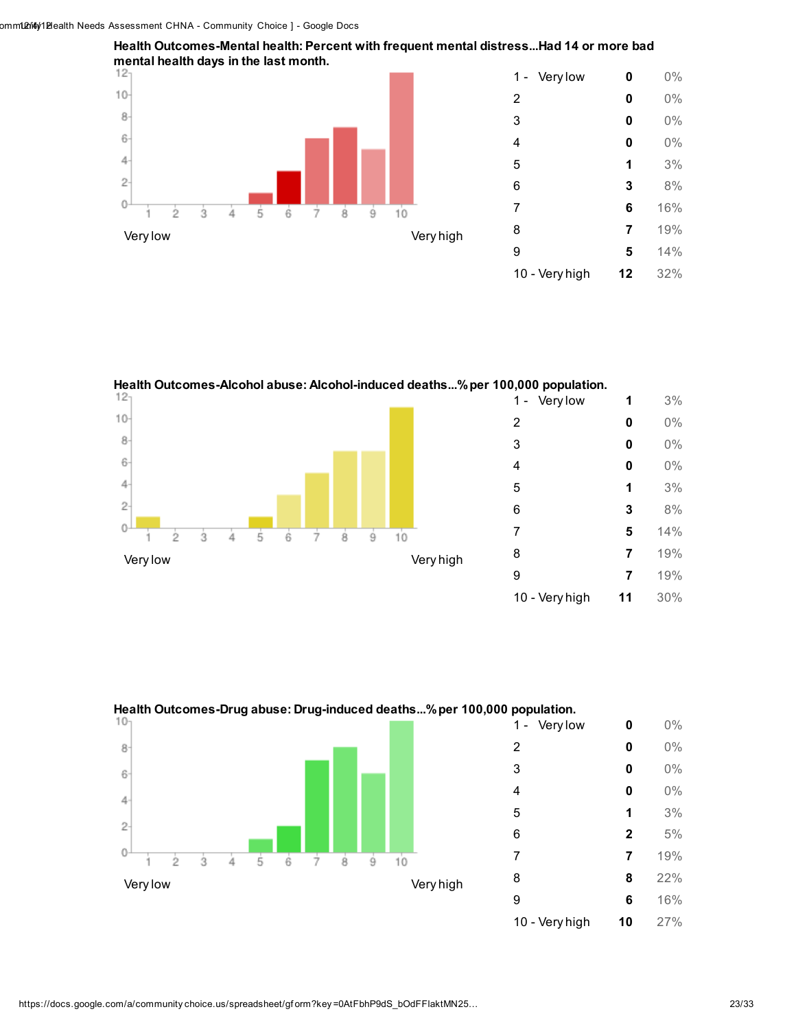

Health Outcomes-Mental health: Percent with frequent mental distress...Had 14 or more bad

Health Outcomes-Alcohol abuse: Alcohol-induced deaths...%per 100,000 population.





Health Outcomes-Drug abuse: Drug-induced deaths...%per 100,000 population.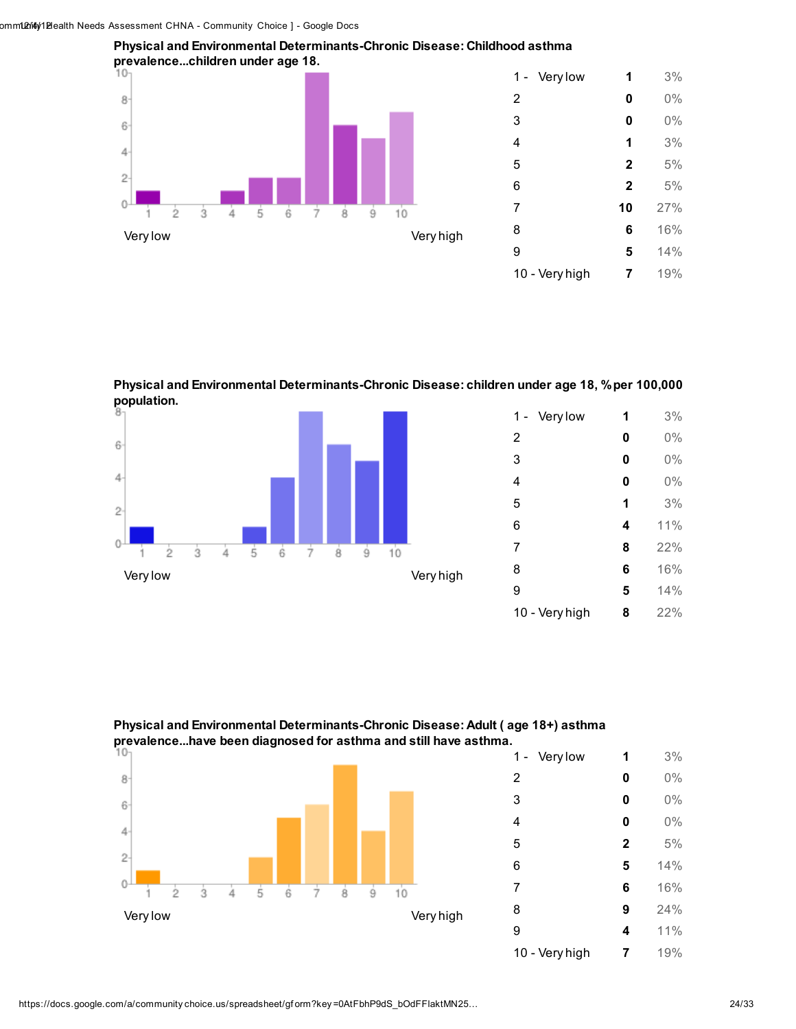



| Very low<br>1 - | 1              | 3%  |
|-----------------|----------------|-----|
| 2               | 0              | 0%  |
| 3               | 0              | 0%  |
| 4               | 1              | 3%  |
| 5               | $\mathbf{2}$   | 5%  |
| 6               | $\overline{2}$ | 5%  |
| 7               | 10             | 27% |
| 8               | 6              | 16% |
| 9               | 5              | 14% |
| 10 - Very high  | 7              | 19% |
|                 |                |     |

Physical and Environmental Determinants-Chronic Disease: children under age 18, % per 100,000 population.



| Very low<br>1 - | 1 | 3%  |
|-----------------|---|-----|
| 2               | 0 | 0%  |
| 3               | 0 | 0%  |
| 4               | 0 | 0%  |
| 5               | 1 | 3%  |
| 6               | 4 | 11% |
| 7               | 8 | 22% |
| 8               | 6 | 16% |
| 9               | 5 | 14% |
| 10 - Very high  | 8 | 22% |

Physical and Environmental Determinants-Chronic Disease: Adult ( age 18+) asthma prevalence...have been diagnosed for asthma and still have asthma.



| Very low<br>1 - | 1            | 3%  |
|-----------------|--------------|-----|
| 2               | 0            | 0%  |
| 3               | 0            | 0%  |
| 4               | 0            | 0%  |
| 5               | $\mathbf{2}$ | 5%  |
| 6               | 5            | 14% |
| 7               | 6            | 16% |
| 8               | 9            | 24% |
| 9               | 4            | 11% |
| 10 - Very high  | 7            | 19% |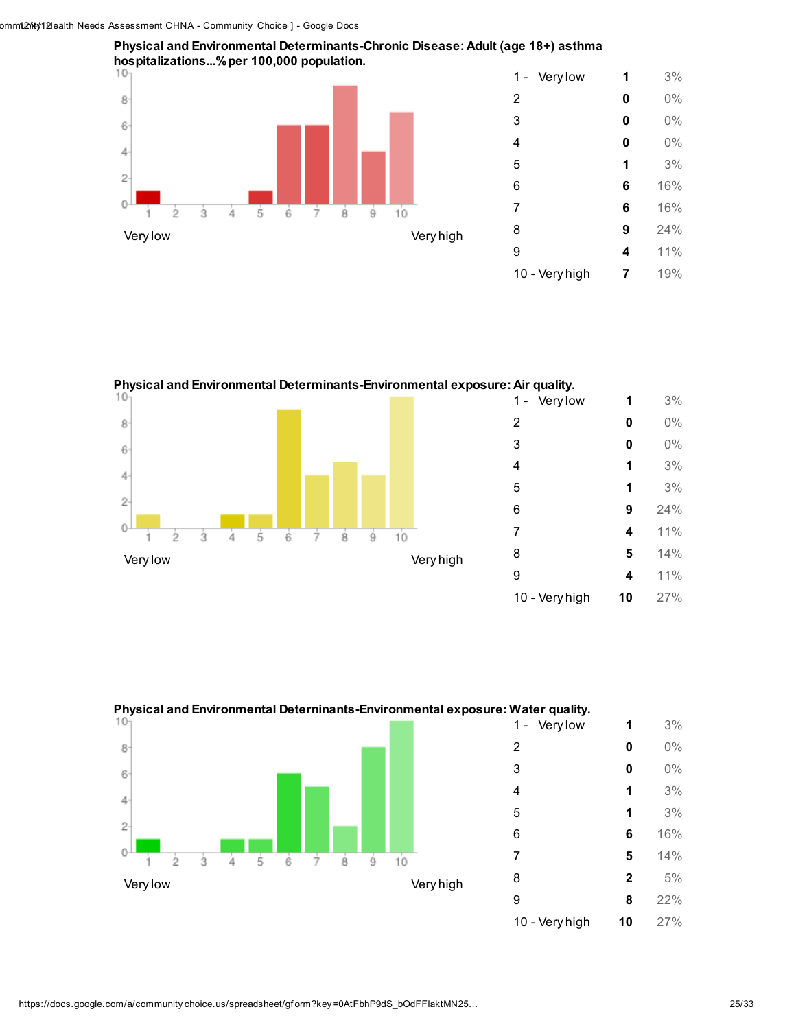



Physical and Environmental Determinants-Environmental exposure: Air quality. 1 - Very low **1** 3% **0** 0% 3 **0**  $0\%$  **1** 3% 1 3%  $\overline{2}$  9 24%  $\overline{0}$  4 11% ġ Ġ Ż ġ ġ ク **5** 14% Very low Very high 4 11% - Very high 10 27%



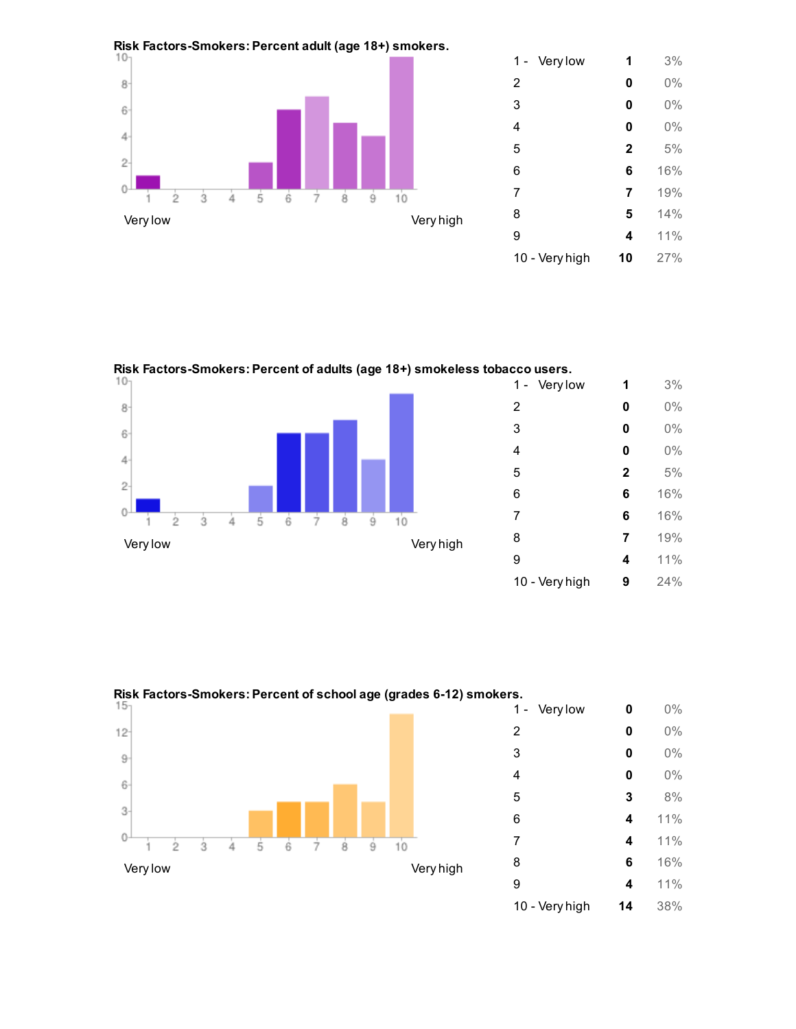





Risk Factors-Smokers: Percent of school age (grades 6-12) smokers.<br>14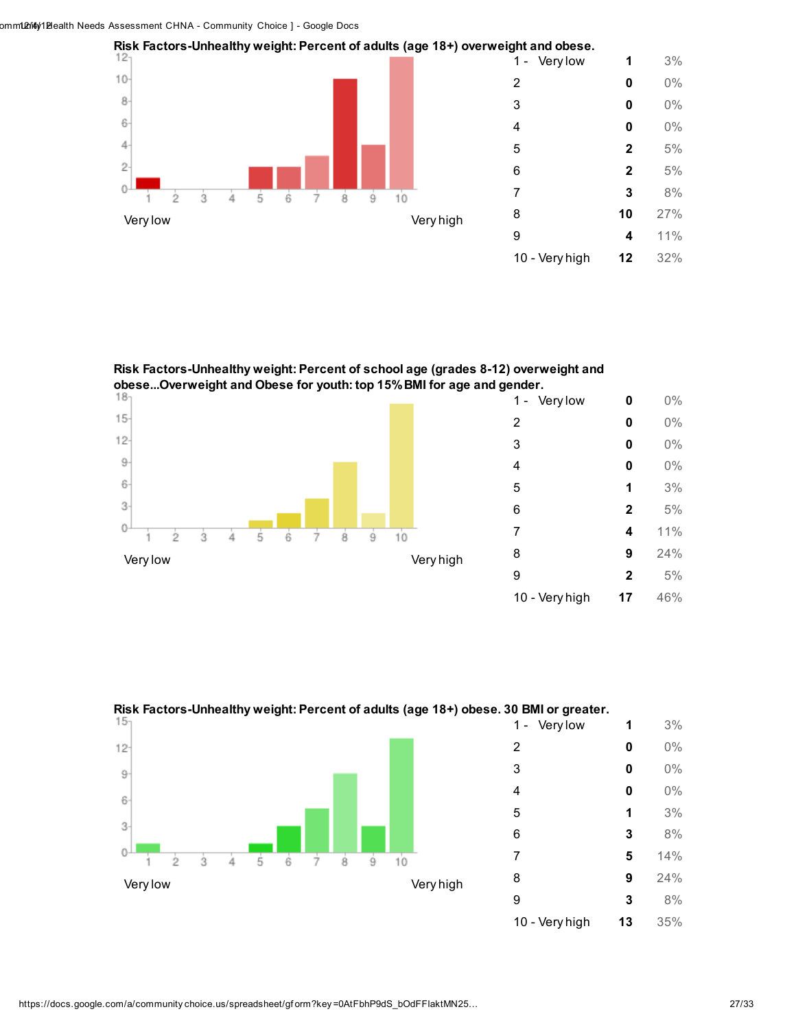

Risk Factors-Unhealthy weight: Percent of school age (grades 8-12) overweight and obese...Overweight and Obese for youth: top 15% BMI for age and gender.<br>14.  $\lambda$ 





Risk Factors-Unhealthy weight: Percent of adults (age 18+) obese. 30 BMI or greater.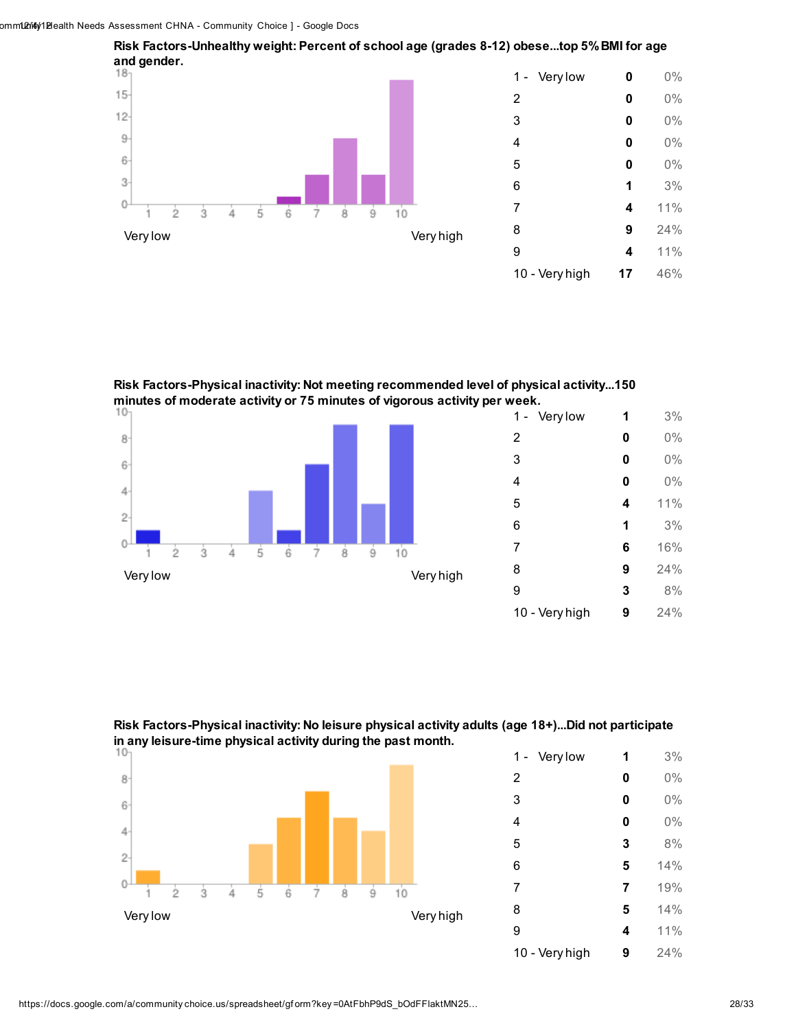

Risk Factors-Physical inactivity: Not meeting recommended level of physical activity...150



| Very low<br>1 - | 1 | 3%  |
|-----------------|---|-----|
| 2               | 0 | 0%  |
| 3               | 0 | 0%  |
| 4               | 0 | 0%  |
| 5               | 4 | 11% |
| 6               | 1 | 3%  |
| 7               | 6 | 16% |
| 8               | 9 | 24% |
| 9               | 3 | 8%  |
| 10 - Very high  | 9 | 24% |

Risk Factors-Physical inactivity: No leisure physical activity adults (age 18+)...Did not participate in any leisure-time physical activity during the past month.



| Very low<br>1 - | 1 | 3%  |
|-----------------|---|-----|
| 2               | 0 | 0%  |
| 3               | 0 | 0%  |
| 4               | 0 | 0%  |
| 5               | 3 | 8%  |
| 6               | 5 | 14% |
| 7               | 7 | 19% |
| 8               | 5 | 14% |
| 9               | 4 | 11% |
| 10 - Very high  | 9 | 24% |

### Risk Factors-Unhealthy weight: Percent of school age (grades 8-12) obese...top 5%BMI for age and gender.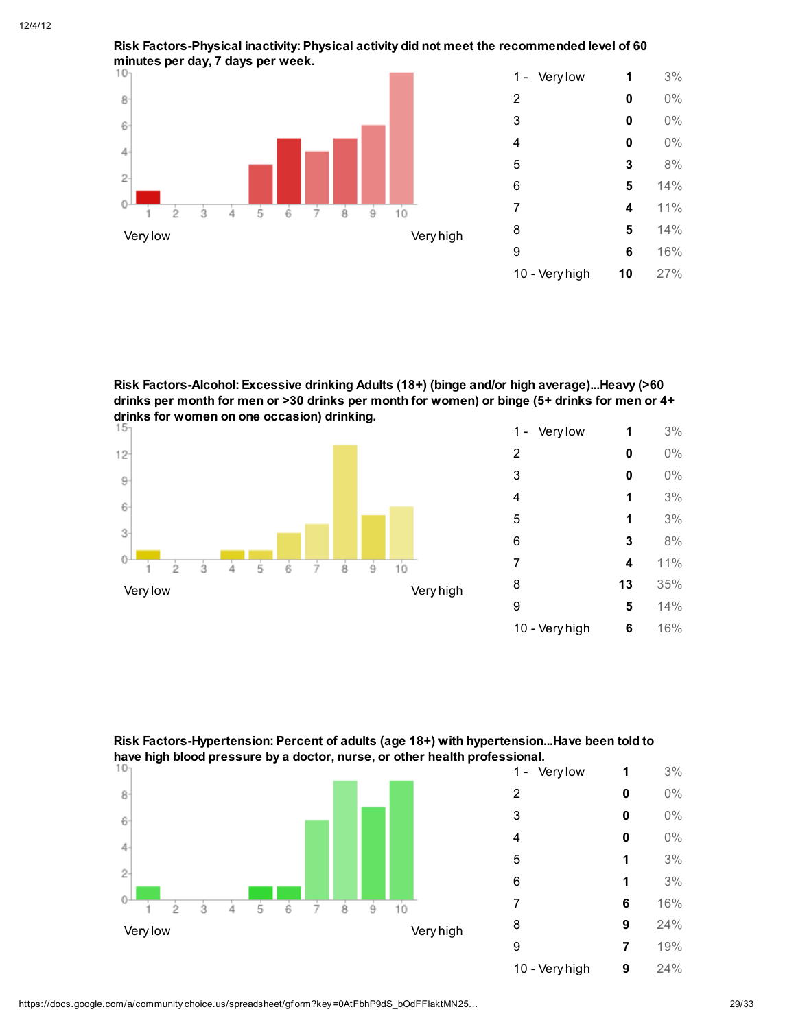

Risk Factors-Physical inactivity: Physical activity did not meet the recommended level of 60

| Very low<br>1 - | 1  | 3%  |
|-----------------|----|-----|
| 2               | 0  | 0%  |
| 3               | 0  | 0%  |
| 4               | 0  | 0%  |
| 5               | 3  | 8%  |
| 6               | 5  | 14% |
| 7               | 4  | 11% |
| 8               | 5  | 14% |
| 9               | 6  | 16% |
| 10 - Very high  | 10 | 27% |
|                 |    |     |

Risk Factors-Alcohol: Excessive drinking Adults (18+) (binge and/or high average)...Heavy (>60 drinks per month for men or >30 drinks per month for women) or binge (5+ drinks for men or 4+ drinks for women on one occasion) drinking.<br> $15<sub>1</sub>$ 



| Very low<br>1 - | 1  | 3%    |
|-----------------|----|-------|
| 2               | 0  | $0\%$ |
| 3               | 0  | 0%    |
| 4               | 1  | 3%    |
| 5               | 1  | 3%    |
| 6               | 3  | 8%    |
| 7               | 4  | 11%   |
| 8               | 13 | 35%   |
| 9               | 5  | 14%   |
| 10 - Very high  | 6  | 16%   |

1 - Very low **1** 3% 2 **0**  $0\%$ 3 **0**  $0\%$ **4 0** 0%  $5$  1  $3\%$ 6 1 3% 7 6 16% 8 **9** 24% 9 7 19% 10 - Very high **9** 24%



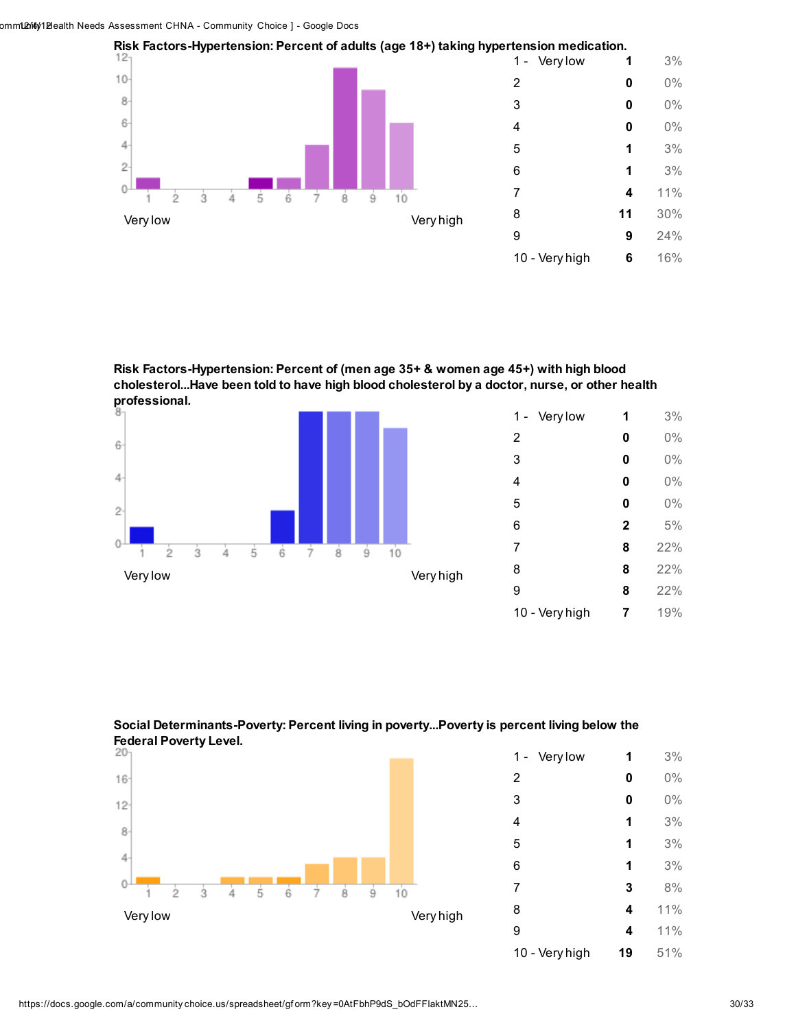

Risk Factors-Hypertension: Percent of (men age 35+ & women age 45+) with high blood cholesterol...Have been told to have high blood cholesterol by a doctor, nurse, or other health professional.



| Very low<br>1 - | 1            | 3%  |
|-----------------|--------------|-----|
| $\overline{2}$  | 0            | 0%  |
| 3               | 0            | 0%  |
| 4               | 0            | 0%  |
| 5               | 0            | 0%  |
| 6               | $\mathbf{2}$ | 5%  |
| 7               | 8            | 22% |
| 8               | 8            | 22% |
| 9               | 8            | 22% |
| 10 - Very high  | 7            | 19% |





| Very low<br>1 - | 1  | 3%  |
|-----------------|----|-----|
| $\overline{2}$  | 0  | 0%  |
| 3               | 0  | 0%  |
| 4               | 1  | 3%  |
| 5               | 1  | 3%  |
| 6               | 1  | 3%  |
| 7               | 3  | 8%  |
| 8               | 4  | 11% |
| 9               | 4  | 11% |
| 10 - Very high  | 19 | 51% |

##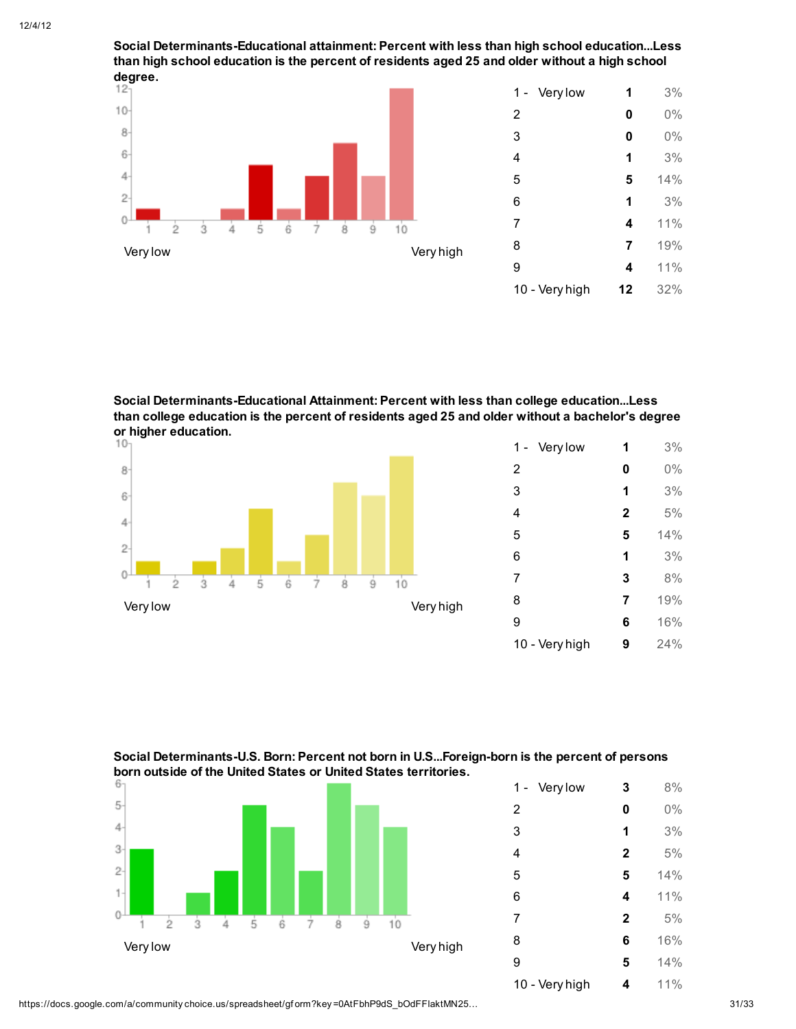Social Determinants-Educational attainment: Percent with less than high school education...Less than high school education is the percent of residents aged 25 and older without a high school degree.



| Very low<br>1 - | 1  | 3%  |
|-----------------|----|-----|
| 2               | 0  | 0%  |
| 3               | 0  | 0%  |
| 4               | 1  | 3%  |
| 5               | 5  | 14% |
| 6               | 1  | 3%  |
| 7               | 4  | 11% |
| 8               | 7  | 19% |
| 9               | 4  | 11% |
| 10 - Very high  | 12 | 32% |
|                 |    |     |

Social Determinants-Educational Attainment: Percent with less than college education...Less than college education is the percent of residents aged 25 and older without a bachelor's degree or higher education.<br> $10<sub>1</sub>$ 



| Very low<br>1 - | 1            | 3%  |
|-----------------|--------------|-----|
| 2               | 0            | 0%  |
| 3               | 1            | 3%  |
| 4               | $\mathbf{2}$ | 5%  |
| 5               | 5            | 14% |
| 6               | 1            | 3%  |
| 7               | 3            | 8%  |
| 8               | 7            | 19% |
| 9               | 6            | 16% |
| 10 - Very high  | 9            | 24% |

### Social Determinants-U.S. Born: Percent not born in U.S...Foreign-born is the percent of persons **born outside of the United States or United States territories.**<br> **B**



| Very low<br>1 - | 3            | 8%  |
|-----------------|--------------|-----|
| $\overline{2}$  | 0            | 0%  |
| 3               | 1            | 3%  |
| 4               | $\mathbf{2}$ | 5%  |
| 5               | 5            | 14% |
| 6               | 4            | 11% |
| 7               | $\mathbf{2}$ | 5%  |
| 8               | 6            | 16% |
| 9               | 5            | 14% |
| 10 - Very high  | 4            | 11% |

https://docs.google.com/a/community choice.us/spreadsheet/gf orm?key =0AtFbhP9dS\_bOdFFlaktMN25… 31/33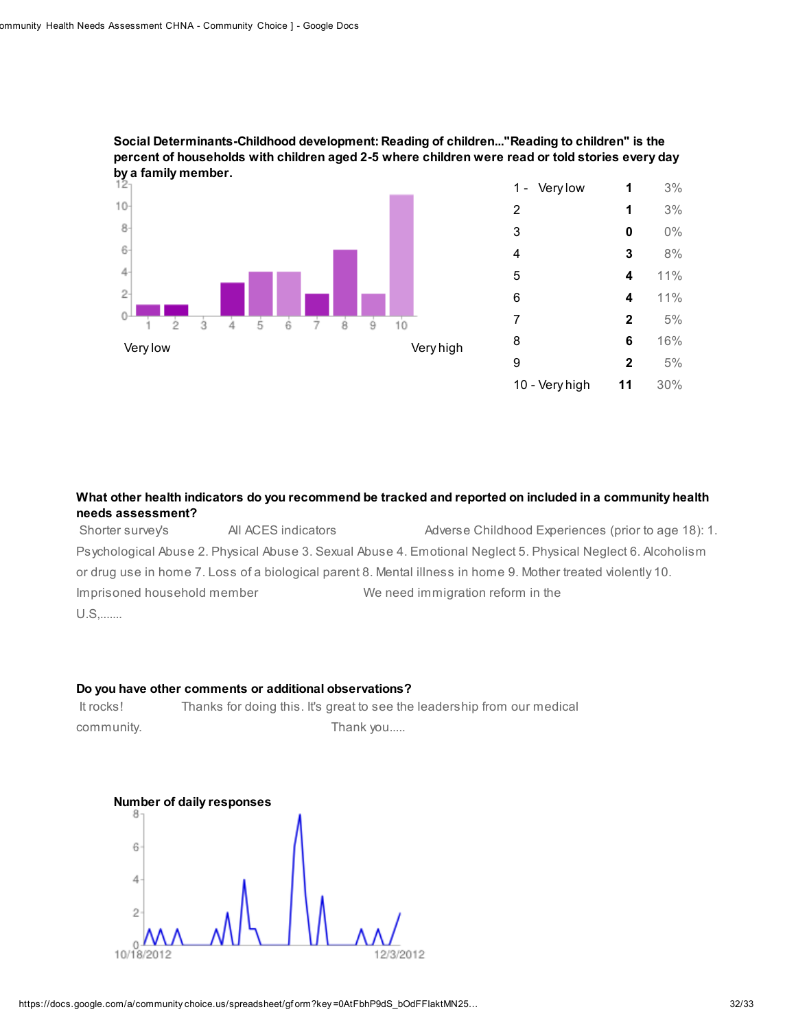

### Social Determinants-Childhood development: Reading of children..."Reading to children" is the percent of households with children aged 2-5 where children were read or told stories every day by a family member.

### What other health indicators do you recommend be tracked and reported on included in a community health needs assessment?

Shorter survey's All ACES indicators Adverse Childhood Experiences (prior to age 18): 1. Psychological Abuse 2. Physical Abuse 3. Sexual Abuse 4. Emotional Neglect 5. Physical Neglect 6. Alcoholism or drug use in home 7. Loss of a biological parent 8. Mental illness in home 9. Mother treated violently 10. Imprisoned household member We need immigration reform in the U.S,.......

### Do you have other comments or additional observations?

It rocks! Thanks for doing this. It's great to see the leadership from our medical community. Thank you.....